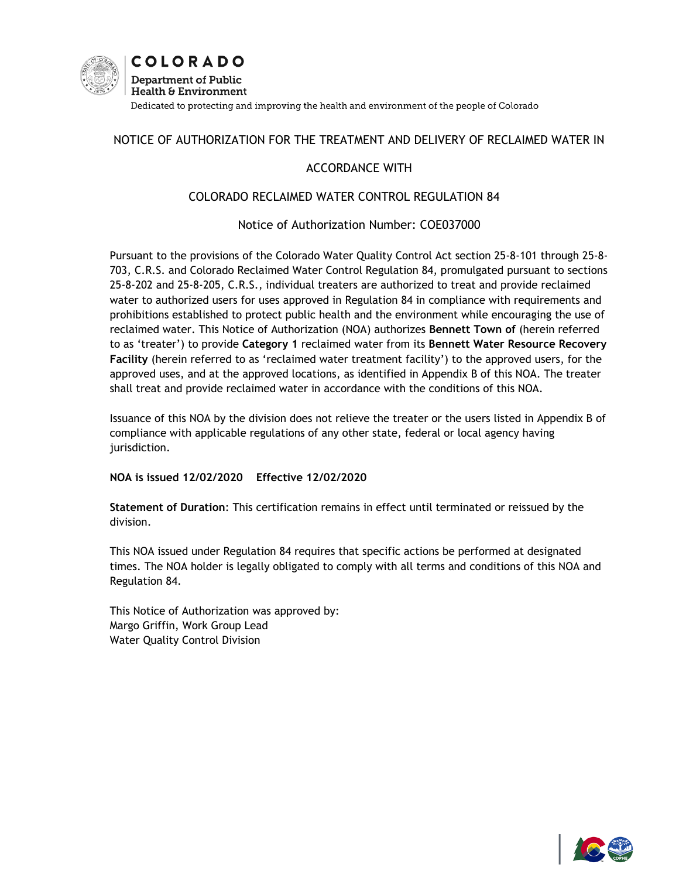

# NOTICE OF AUTHORIZATION FOR THE TREATMENT AND DELIVERY OF RECLAIMED WATER IN

# ACCORDANCE WITH

### COLORADO RECLAIMED WATER CONTROL REGULATION 84

### Notice of Authorization Number: COE037000

Pursuant to the provisions of the Colorado Water Quality Control Act section 25-8-101 through 25-8- 703, C.R.S. and Colorado Reclaimed Water Control Regulation 84, promulgated pursuant to sections 25-8-202 and 25-8-205, C.R.S., individual treaters are authorized to treat and provide reclaimed water to authorized users for uses approved in Regulation 84 in compliance with requirements and prohibitions established to protect public health and the environment while encouraging the use of reclaimed water. This Notice of Authorization (NOA) authorizes **Bennett Town of** (herein referred to as 'treater') to provide **Category 1** reclaimed water from its **Bennett Water Resource Recovery Facility** (herein referred to as 'reclaimed water treatment facility') to the approved users, for the approved uses, and at the approved locations, as identified in Appendix B of this NOA. The treater shall treat and provide reclaimed water in accordance with the conditions of this NOA.

Issuance of this NOA by the division does not relieve the treater or the users listed in Appendix B of compliance with applicable regulations of any other state, federal or local agency having jurisdiction.

### **NOA is issued 12/02/2020 Effective 12/02/2020**

**Statement of Duration**: This certification remains in effect until terminated or reissued by the division.

This NOA issued under Regulation 84 requires that specific actions be performed at designated times. The NOA holder is legally obligated to comply with all terms and conditions of this NOA and Regulation 84.

This Notice of Authorization was approved by: Margo Griffin, Work Group Lead Water Quality Control Division

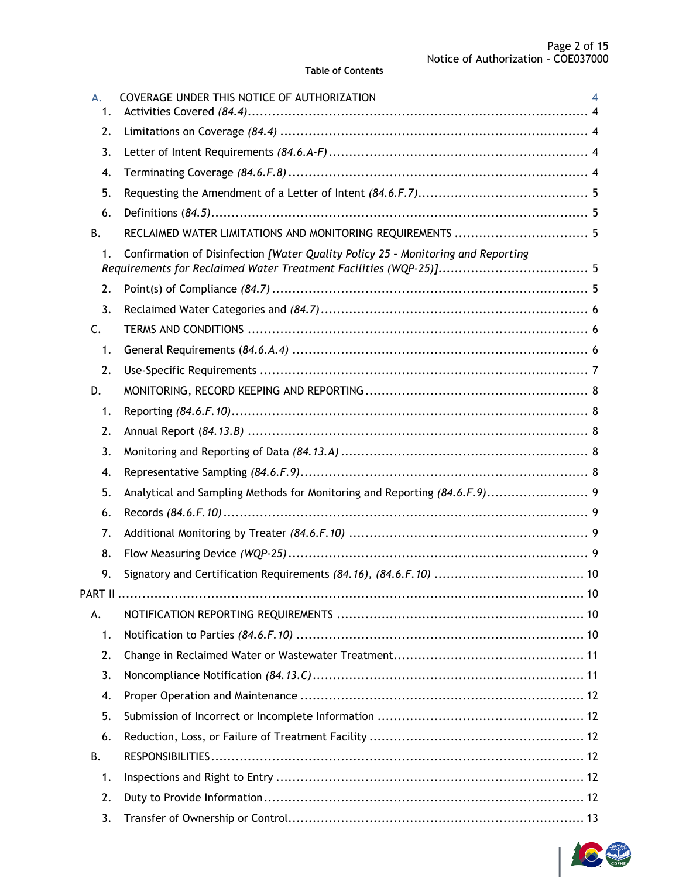| A.<br>1.  | COVERAGE UNDER THIS NOTICE OF AUTHORIZATION<br>4                                 |
|-----------|----------------------------------------------------------------------------------|
| 2.        |                                                                                  |
| 3.        |                                                                                  |
| 4.        |                                                                                  |
| 5.        |                                                                                  |
| 6.        |                                                                                  |
| <b>B.</b> | RECLAIMED WATER LIMITATIONS AND MONITORING REQUIREMENTS  5                       |
| 1.        | Confirmation of Disinfection [Water Quality Policy 25 - Monitoring and Reporting |
| 2.        |                                                                                  |
| 3.        |                                                                                  |
| C.        |                                                                                  |
| 1.        |                                                                                  |
| 2.        |                                                                                  |
| D.        |                                                                                  |
| 1.        |                                                                                  |
| 2.        |                                                                                  |
| 3.        |                                                                                  |
| 4.        |                                                                                  |
| 5.        |                                                                                  |
| 6.        |                                                                                  |
| 7.        |                                                                                  |
| 8.        |                                                                                  |
| 9.        |                                                                                  |
|           |                                                                                  |
| А.        |                                                                                  |
| 1.        |                                                                                  |
| 2.        |                                                                                  |
| 3.        |                                                                                  |
| 4.        |                                                                                  |
| 5.        |                                                                                  |
| 6.        |                                                                                  |
| В.        |                                                                                  |
| 1.        |                                                                                  |
| 2.        |                                                                                  |
| 3.        |                                                                                  |

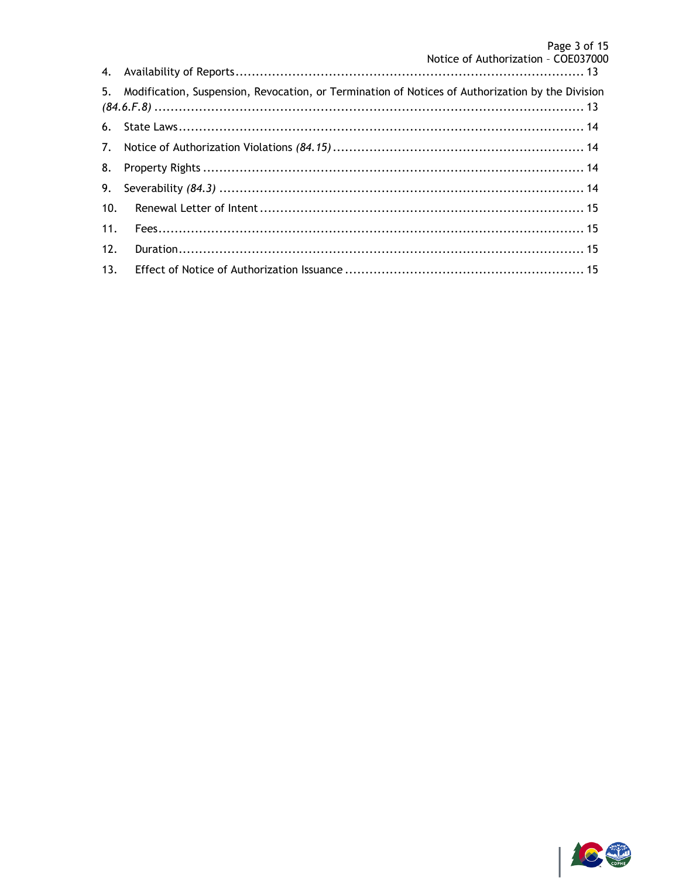|     | 5. Modification, Suspension, Revocation, or Termination of Notices of Authorization by the Division |  |
|-----|-----------------------------------------------------------------------------------------------------|--|
|     |                                                                                                     |  |
|     |                                                                                                     |  |
| 8.  |                                                                                                     |  |
|     |                                                                                                     |  |
| 10. |                                                                                                     |  |
| 11. |                                                                                                     |  |
| 12. |                                                                                                     |  |
| 13. |                                                                                                     |  |

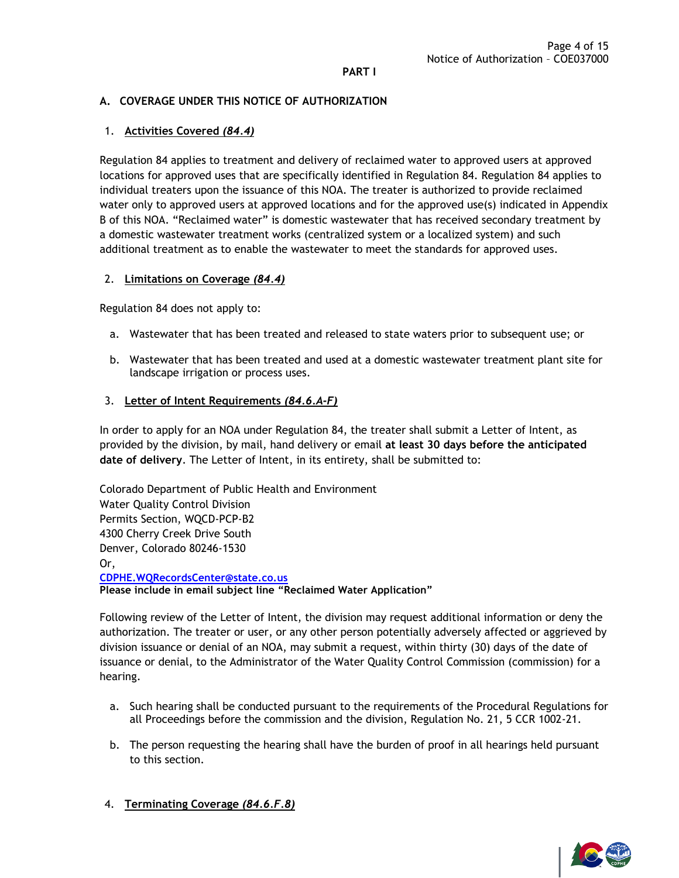#### **PART I**

### <span id="page-3-0"></span>**A. COVERAGE UNDER THIS NOTICE OF AUTHORIZATION**

### <span id="page-3-1"></span>1. **Activities Covered** *(84.4)*

Regulation 84 applies to treatment and delivery of reclaimed water to approved users at approved locations for approved uses that are specifically identified in Regulation 84. Regulation 84 applies to individual treaters upon the issuance of this NOA. The treater is authorized to provide reclaimed water only to approved users at approved locations and for the approved use(s) indicated in Appendix B of this NOA. "Reclaimed water" is domestic wastewater that has received secondary treatment by a domestic wastewater treatment works (centralized system or a localized system) and such additional treatment as to enable the wastewater to meet the standards for approved uses.

### <span id="page-3-2"></span>2. **Limitations on Coverage** *(84.4)*

Regulation 84 does not apply to:

- a. Wastewater that has been treated and released to state waters prior to subsequent use; or
- b. Wastewater that has been treated and used at a domestic wastewater treatment plant site for landscape irrigation or process uses.

#### <span id="page-3-3"></span>3. **Letter of Intent Requirements** *(84.6.A-F)*

In order to apply for an NOA under Regulation 84, the treater shall submit a Letter of Intent, as provided by the division, by mail, hand delivery or email **at least 30 days before the anticipated date of delivery**. The Letter of Intent, in its entirety, shall be submitted to:

Colorado Department of Public Health and Environment Water Quality Control Division Permits Section, WQCD-PCP-B2 4300 Cherry Creek Drive South Denver, Colorado 80246-1530 Or, **[CDPHE.WQRecordsCenter@state.co.us](mailto:CDPHE.WQRecordsCenter@state.co.us) Please include in email subject line "Reclaimed Water Application"**

Following review of the Letter of Intent, the division may request additional information or deny the authorization. The treater or user, or any other person potentially adversely affected or aggrieved by division issuance or denial of an NOA, may submit a request, within thirty (30) days of the date of issuance or denial, to the Administrator of the Water Quality Control Commission (commission) for a hearing.

- a. Such hearing shall be conducted pursuant to the requirements of the Procedural Regulations for all Proceedings before the commission and the division, Regulation No. 21, 5 CCR 1002-21.
- b. The person requesting the hearing shall have the burden of proof in all hearings held pursuant to this section.
- <span id="page-3-4"></span>4. **Terminating Coverage** *(84.6.F.8)*

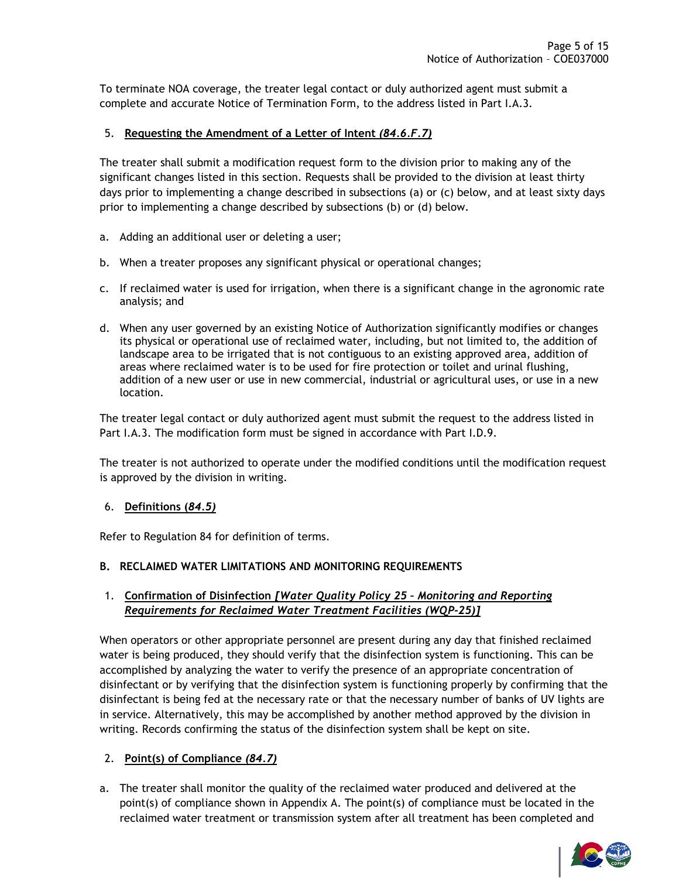To terminate NOA coverage, the treater legal contact or duly authorized agent must submit a complete and accurate Notice of Termination Form, to the address listed in Part I.A.3.

### <span id="page-4-0"></span>5. **Requesting the Amendment of a Letter of Intent** *(84.6.F.7)*

The treater shall submit a modification request form to the division prior to making any of the significant changes listed in this section. Requests shall be provided to the division at least thirty days prior to implementing a change described in subsections (a) or (c) below, and at least sixty days prior to implementing a change described by subsections (b) or (d) below.

- a. Adding an additional user or deleting a user;
- b. When a treater proposes any significant physical or operational changes;
- c. If reclaimed water is used for irrigation, when there is a significant change in the agronomic rate analysis; and
- d. When any user governed by an existing Notice of Authorization significantly modifies or changes its physical or operational use of reclaimed water, including, but not limited to, the addition of landscape area to be irrigated that is not contiguous to an existing approved area, addition of areas where reclaimed water is to be used for fire protection or toilet and urinal flushing, addition of a new user or use in new commercial, industrial or agricultural uses, or use in a new location.

The treater legal contact or duly authorized agent must submit the request to the address listed in Part I.A.3. The modification form must be signed in accordance with Part I.D.9.

The treater is not authorized to operate under the modified conditions until the modification request is approved by the division in writing.

### <span id="page-4-1"></span>6. **Definitions (***84.5)*

Refer to Regulation 84 for definition of terms.

### <span id="page-4-2"></span>**B. RECLAIMED WATER LIMITATIONS AND MONITORING REQUIREMENTS**

### <span id="page-4-3"></span>1. **Confirmation of Disinfection** *[Water Quality Policy 25 – Monitoring and Reporting Requirements for Reclaimed Water Treatment Facilities (WQP-25)]*

When operators or other appropriate personnel are present during any day that finished reclaimed water is being produced, they should verify that the disinfection system is functioning. This can be accomplished by analyzing the water to verify the presence of an appropriate concentration of disinfectant or by verifying that the disinfection system is functioning properly by confirming that the disinfectant is being fed at the necessary rate or that the necessary number of banks of UV lights are in service. Alternatively, this may be accomplished by another method approved by the division in writing. Records confirming the status of the disinfection system shall be kept on site.

# <span id="page-4-4"></span>2. **Point(s) of Compliance** *(84.7)*

a. The treater shall monitor the quality of the reclaimed water produced and delivered at the point(s) of compliance shown in Appendix A. The point(s) of compliance must be located in the reclaimed water treatment or transmission system after all treatment has been completed and

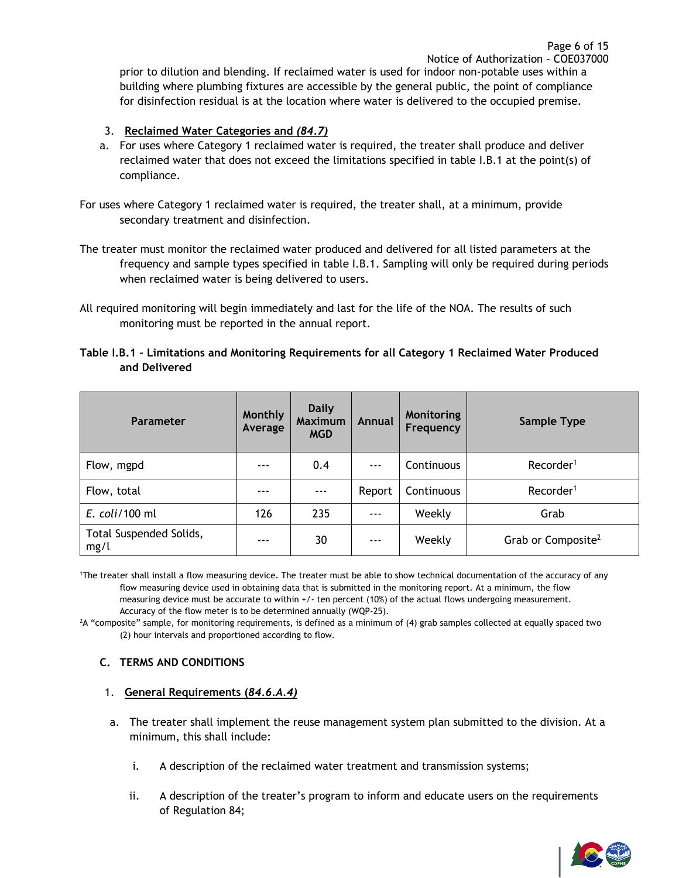prior to dilution and blending. If reclaimed water is used for indoor non-potable uses within a building where plumbing fixtures are accessible by the general public, the point of compliance for disinfection residual is at the location where water is delivered to the occupied premise.

### <span id="page-5-0"></span>3. **Reclaimed Water Categories and** *(84.7)*

a. For uses where Category 1 reclaimed water is required, the treater shall produce and deliver reclaimed water that does not exceed the limitations specified in table I.B.1 at the point(s) of compliance.

For uses where Category 1 reclaimed water is required, the treater shall, at a minimum, provide secondary treatment and disinfection.

- The treater must monitor the reclaimed water produced and delivered for all listed parameters at the frequency and sample types specified in table I.B.1. Sampling will only be required during periods when reclaimed water is being delivered to users.
- All required monitoring will begin immediately and last for the life of the NOA. The results of such monitoring must be reported in the annual report.

| Table I.B.1 - Limitations and Monitoring Requirements for all Category 1 Reclaimed Water Produced |  |  |
|---------------------------------------------------------------------------------------------------|--|--|
| and Delivered                                                                                     |  |  |

| Parameter                       | <b>Monthly</b><br>Average | <b>Daily</b><br><b>Maximum</b><br><b>MGD</b> | Annual   | Monitoring<br>Frequency | Sample Type                    |
|---------------------------------|---------------------------|----------------------------------------------|----------|-------------------------|--------------------------------|
| Flow, mgpd                      | $- - -$                   | 0.4                                          | $\cdots$ | Continuous              | Recorder <sup>1</sup>          |
| Flow, total                     | $- - -$                   | $- - -$                                      | Report   | Continuous              | Recorder <sup>1</sup>          |
| E. coli/100 ml                  | 126                       | 235                                          | $- - -$  | Weekly                  | Grab                           |
| Total Suspended Solids,<br>mg/l | $- - -$                   | 30                                           | $- - -$  | Weekly                  | Grab or Composite <sup>2</sup> |

<sup>1</sup>The treater shall install a flow measuring device. The treater must be able to show technical documentation of the accuracy of any flow measuring device used in obtaining data that is submitted in the monitoring report. At a minimum, the flow measuring device must be accurate to within +/- ten percent (10%) of the actual flows undergoing measurement. Accuracy of the flow meter is to be determined annually (WQP-25).

 $2A$  "composite" sample, for monitoring requirements, is defined as a minimum of (4) grab samples collected at equally spaced two (2) hour intervals and proportioned according to flow.

### <span id="page-5-1"></span>**C. TERMS AND CONDITIONS**

### <span id="page-5-2"></span>1. **General Requirements (***84.6.A.4)*

- a. The treater shall implement the reuse management system plan submitted to the division. At a minimum, this shall include:
	- i. A description of the reclaimed water treatment and transmission systems;
	- ii. A description of the treater's program to inform and educate users on the requirements of Regulation 84;

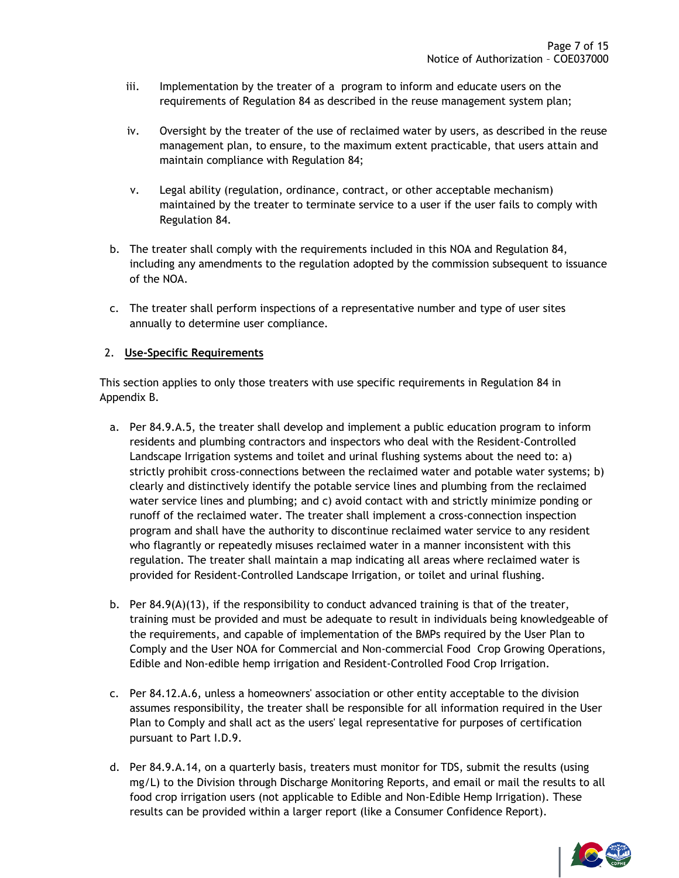- iii. Implementation by the treater of a program to inform and educate users on the requirements of Regulation 84 as described in the reuse management system plan;
- iv. Oversight by the treater of the use of reclaimed water by users, as described in the reuse management plan, to ensure, to the maximum extent practicable, that users attain and maintain compliance with Regulation 84;
- v. Legal ability (regulation, ordinance, contract, or other acceptable mechanism) maintained by the treater to terminate service to a user if the user fails to comply with Regulation 84.
- b. The treater shall comply with the requirements included in this NOA and Regulation 84, including any amendments to the regulation adopted by the commission subsequent to issuance of the NOA.
- c. The treater shall perform inspections of a representative number and type of user sites annually to determine user compliance.

### <span id="page-6-0"></span>2. **Use-Specific Requirements**

This section applies to only those treaters with use specific requirements in Regulation 84 in Appendix B.

- a. Per 84.9.A.5, the treater shall develop and implement a public education program to inform residents and plumbing contractors and inspectors who deal with the Resident-Controlled Landscape Irrigation systems and toilet and urinal flushing systems about the need to: a) strictly prohibit cross-connections between the reclaimed water and potable water systems; b) clearly and distinctively identify the potable service lines and plumbing from the reclaimed water service lines and plumbing; and c) avoid contact with and strictly minimize ponding or runoff of the reclaimed water. The treater shall implement a cross-connection inspection program and shall have the authority to discontinue reclaimed water service to any resident who flagrantly or repeatedly misuses reclaimed water in a manner inconsistent with this regulation. The treater shall maintain a map indicating all areas where reclaimed water is provided for Resident-Controlled Landscape Irrigation, or toilet and urinal flushing.
- b. Per  $84.9(A)(13)$ , if the responsibility to conduct advanced training is that of the treater, training must be provided and must be adequate to result in individuals being knowledgeable of the requirements, and capable of implementation of the BMPs required by the User Plan to Comply and the User NOA for Commercial and Non-commercial Food Crop Growing Operations, Edible and Non-edible hemp irrigation and Resident-Controlled Food Crop Irrigation.
- c. Per 84.12.A.6, unless a homeowners' association or other entity acceptable to the division assumes responsibility, the treater shall be responsible for all information required in the User Plan to Comply and shall act as the users' legal representative for purposes of certification pursuant to Part I.D.9.
- d. Per 84.9.A.14, on a quarterly basis, treaters must monitor for TDS, submit the results (using mg/L) to the Division through Discharge Monitoring Reports, and email or mail the results to all food crop irrigation users (not applicable to Edible and Non-Edible Hemp Irrigation). These results can be provided within a larger report (like a Consumer Confidence Report).

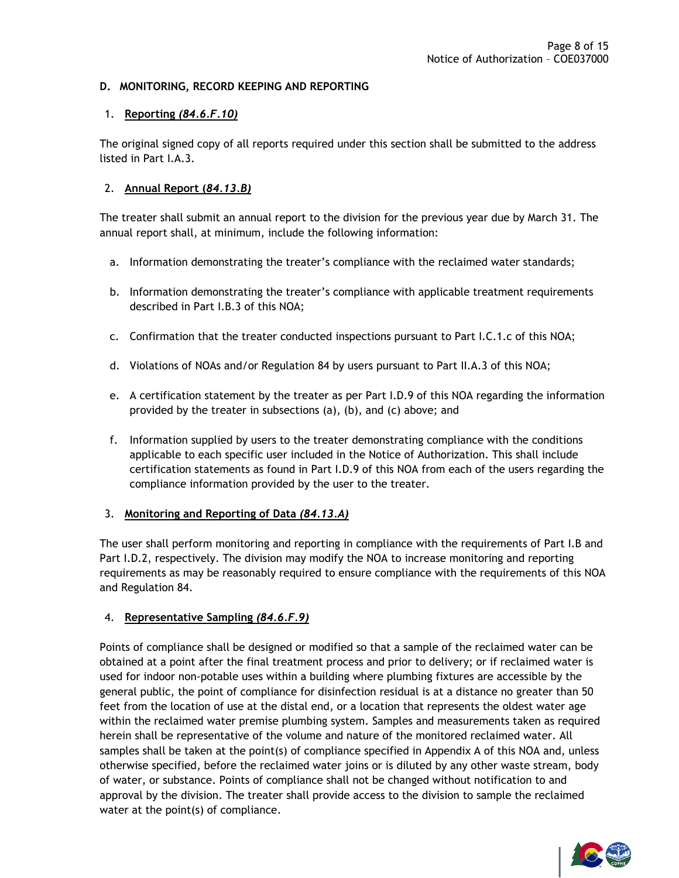### <span id="page-7-0"></span>**D. MONITORING, RECORD KEEPING AND REPORTING**

### <span id="page-7-1"></span>1. **Reporting** *(84.6.F.10)*

The original signed copy of all reports required under this section shall be submitted to the address listed in Part I.A.3.

#### <span id="page-7-2"></span>2. **Annual Report (***84.13.B)*

The treater shall submit an annual report to the division for the previous year due by March 31. The annual report shall, at minimum, include the following information:

- a. Information demonstrating the treater's compliance with the reclaimed water standards;
- b. Information demonstrating the treater's compliance with applicable treatment requirements described in Part I.B.3 of this NOA;
- c. Confirmation that the treater conducted inspections pursuant to Part I.C.1.c of this NOA;
- d. Violations of NOAs and/or Regulation 84 by users pursuant to Part II.A.3 of this NOA;
- e. A certification statement by the treater as per Part I.D.9 of this NOA regarding the information provided by the treater in subsections (a), (b), and (c) above; and
- f. Information supplied by users to the treater demonstrating compliance with the conditions applicable to each specific user included in the Notice of Authorization. This shall include certification statements as found in Part I.D.9 of this NOA from each of the users regarding the compliance information provided by the user to the treater.

#### <span id="page-7-3"></span>3. **Monitoring and Reporting of Data** *(84.13.A)*

The user shall perform monitoring and reporting in compliance with the requirements of Part I.B and Part I.D.2, respectively. The division may modify the NOA to increase monitoring and reporting requirements as may be reasonably required to ensure compliance with the requirements of this NOA and Regulation 84.

#### <span id="page-7-4"></span>4. **Representative Sampling** *(84.6.F.9)*

Points of compliance shall be designed or modified so that a sample of the reclaimed water can be obtained at a point after the final treatment process and prior to delivery; or if reclaimed water is used for indoor non-potable uses within a building where plumbing fixtures are accessible by the general public, the point of compliance for disinfection residual is at a distance no greater than 50 feet from the location of use at the distal end, or a location that represents the oldest water age within the reclaimed water premise plumbing system. Samples and measurements taken as required herein shall be representative of the volume and nature of the monitored reclaimed water. All samples shall be taken at the point(s) of compliance specified in Appendix A of this NOA and, unless otherwise specified, before the reclaimed water joins or is diluted by any other waste stream, body of water, or substance. Points of compliance shall not be changed without notification to and approval by the division. The treater shall provide access to the division to sample the reclaimed water at the point(s) of compliance.

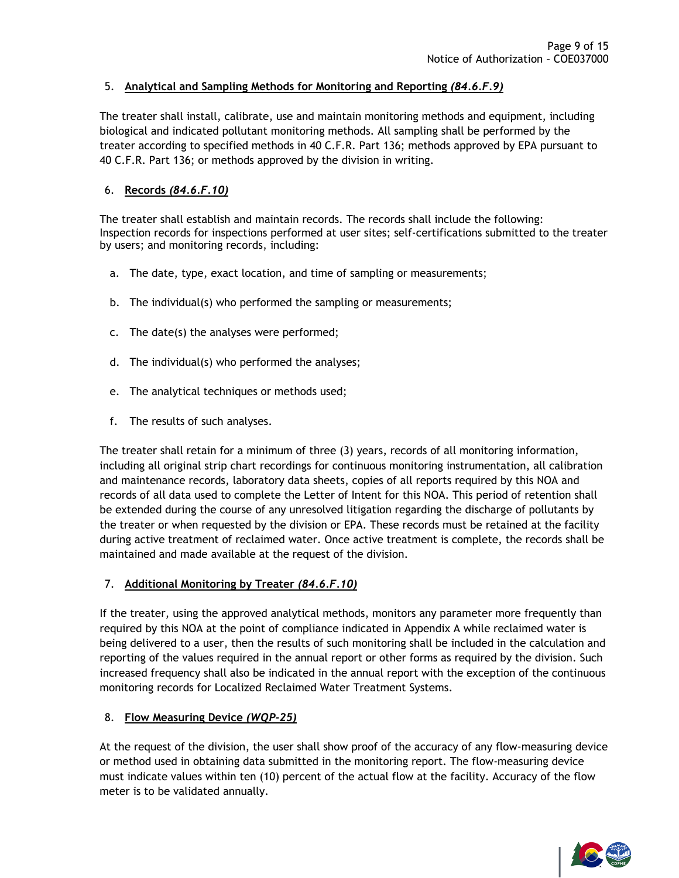### <span id="page-8-0"></span>5. **Analytical and Sampling Methods for Monitoring and Reporting** *(84.6.F.9)*

The treater shall install, calibrate, use and maintain monitoring methods and equipment, including biological and indicated pollutant monitoring methods. All sampling shall be performed by the treater according to specified methods in 40 C.F.R. Part 136; methods approved by EPA pursuant to 40 C.F.R. Part 136; or methods approved by the division in writing.

# <span id="page-8-1"></span>6. **Records** *(84.6.F.10)*

The treater shall establish and maintain records. The records shall include the following: Inspection records for inspections performed at user sites; self-certifications submitted to the treater by users; and monitoring records, including:

- a. The date, type, exact location, and time of sampling or measurements;
- b. The individual(s) who performed the sampling or measurements;
- c. The date(s) the analyses were performed;
- d. The individual(s) who performed the analyses;
- e. The analytical techniques or methods used;
- f. The results of such analyses.

The treater shall retain for a minimum of three (3) years, records of all monitoring information, including all original strip chart recordings for continuous monitoring instrumentation, all calibration and maintenance records, laboratory data sheets, copies of all reports required by this NOA and records of all data used to complete the Letter of Intent for this NOA. This period of retention shall be extended during the course of any unresolved litigation regarding the discharge of pollutants by the treater or when requested by the division or EPA. These records must be retained at the facility during active treatment of reclaimed water. Once active treatment is complete, the records shall be maintained and made available at the request of the division.

### <span id="page-8-2"></span>7. **Additional Monitoring by Treater** *(84.6.F.10)*

If the treater, using the approved analytical methods, monitors any parameter more frequently than required by this NOA at the point of compliance indicated in Appendix A while reclaimed water is being delivered to a user, then the results of such monitoring shall be included in the calculation and reporting of the values required in the annual report or other forms as required by the division. Such increased frequency shall also be indicated in the annual report with the exception of the continuous monitoring records for Localized Reclaimed Water Treatment Systems.

### <span id="page-8-3"></span>8. **Flow Measuring Device** *(WQP-25)*

At the request of the division, the user shall show proof of the accuracy of any flow-measuring device or method used in obtaining data submitted in the monitoring report. The flow-measuring device must indicate values within ten (10) percent of the actual flow at the facility. Accuracy of the flow meter is to be validated annually.

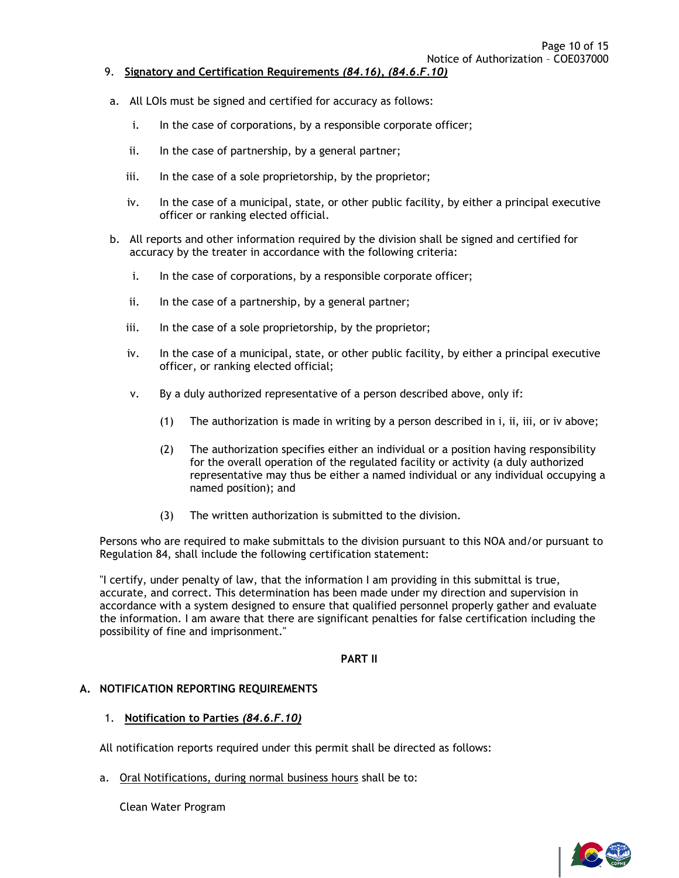- <span id="page-9-0"></span>9. **Signatory and Certification Requirements** *(84.16), (84.6.F.10)*
- a. All LOIs must be signed and certified for accuracy as follows:
	- i. In the case of corporations, by a responsible corporate officer;
	- ii. In the case of partnership, by a general partner;
	- iii. In the case of a sole proprietorship, by the proprietor;
	- iv. In the case of a municipal, state, or other public facility, by either a principal executive officer or ranking elected official.
- b. All reports and other information required by the division shall be signed and certified for accuracy by the treater in accordance with the following criteria:
	- i. In the case of corporations, by a responsible corporate officer;
	- ii. In the case of a partnership, by a general partner;
	- iii. In the case of a sole proprietorship, by the proprietor;
	- iv. In the case of a municipal, state, or other public facility, by either a principal executive officer, or ranking elected official;
	- v. By a duly authorized representative of a person described above, only if:
		- (1) The authorization is made in writing by a person described in i, ii, iii, or iv above;
		- (2) The authorization specifies either an individual or a position having responsibility for the overall operation of the regulated facility or activity (a duly authorized representative may thus be either a named individual or any individual occupying a named position); and
		- (3) The written authorization is submitted to the division.

Persons who are required to make submittals to the division pursuant to this NOA and/or pursuant to Regulation 84, shall include the following certification statement:

"I certify, under penalty of law, that the information I am providing in this submittal is true, accurate, and correct. This determination has been made under my direction and supervision in accordance with a system designed to ensure that qualified personnel properly gather and evaluate the information. I am aware that there are significant penalties for false certification including the possibility of fine and imprisonment."

#### **PART II**

#### <span id="page-9-2"></span><span id="page-9-1"></span>**A. NOTIFICATION REPORTING REQUIREMENTS**

### <span id="page-9-3"></span>1. **Notification to Parties** *(84.6.F.10)*

All notification reports required under this permit shall be directed as follows:

a. Oral Notifications, during normal business hours shall be to:

Clean Water Program

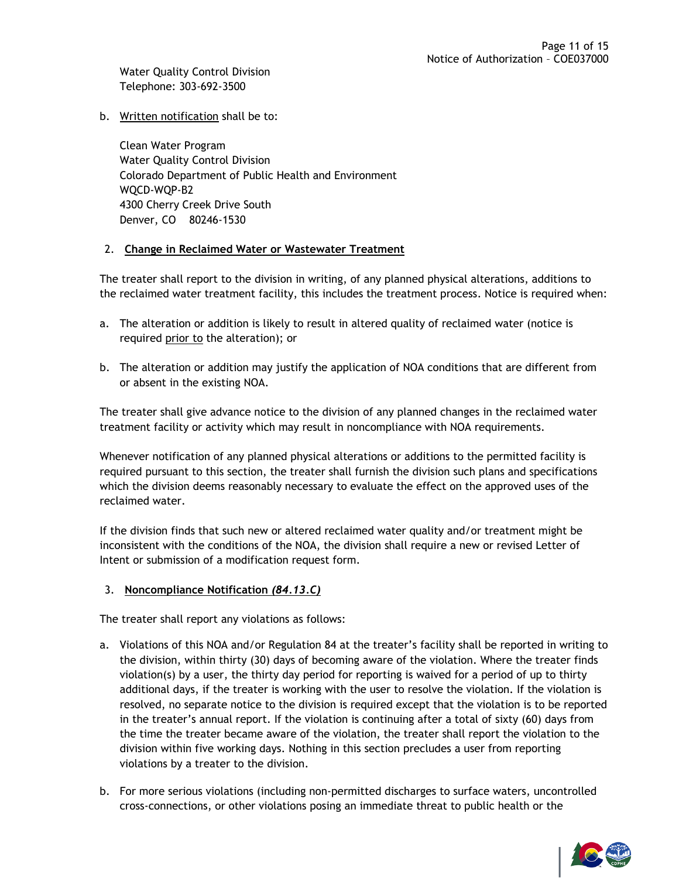Water Quality Control Division Telephone: 303-692-3500

### b. Written notification shall be to:

Clean Water Program Water Quality Control Division Colorado Department of Public Health and Environment WQCD-WQP-B2 4300 Cherry Creek Drive South Denver, CO 80246-1530

### <span id="page-10-0"></span>2. **Change in Reclaimed Water or Wastewater Treatment**

The treater shall report to the division in writing, of any planned physical alterations, additions to the reclaimed water treatment facility, this includes the treatment process. Notice is required when:

- a. The alteration or addition is likely to result in altered quality of reclaimed water (notice is required prior to the alteration); or
- b. The alteration or addition may justify the application of NOA conditions that are different from or absent in the existing NOA.

The treater shall give advance notice to the division of any planned changes in the reclaimed water treatment facility or activity which may result in noncompliance with NOA requirements.

Whenever notification of any planned physical alterations or additions to the permitted facility is required pursuant to this section, the treater shall furnish the division such plans and specifications which the division deems reasonably necessary to evaluate the effect on the approved uses of the reclaimed water.

If the division finds that such new or altered reclaimed water quality and/or treatment might be inconsistent with the conditions of the NOA, the division shall require a new or revised Letter of Intent or submission of a modification request form.

### <span id="page-10-1"></span>3. **Noncompliance Notification** *(84.13.C)*

The treater shall report any violations as follows:

- a. Violations of this NOA and/or Regulation 84 at the treater's facility shall be reported in writing to the division, within thirty (30) days of becoming aware of the violation. Where the treater finds violation(s) by a user, the thirty day period for reporting is waived for a period of up to thirty additional days, if the treater is working with the user to resolve the violation. If the violation is resolved, no separate notice to the division is required except that the violation is to be reported in the treater's annual report. If the violation is continuing after a total of sixty (60) days from the time the treater became aware of the violation, the treater shall report the violation to the division within five working days. Nothing in this section precludes a user from reporting violations by a treater to the division.
- b. For more serious violations (including non-permitted discharges to surface waters, uncontrolled cross-connections, or other violations posing an immediate threat to public health or the

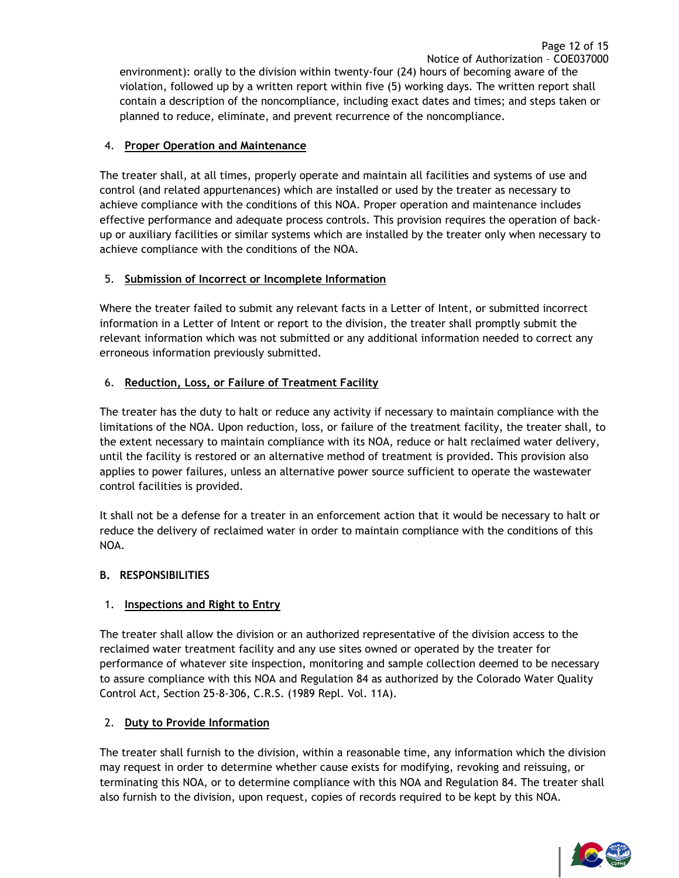# <span id="page-11-0"></span>4. **Proper Operation and Maintenance**

The treater shall, at all times, properly operate and maintain all facilities and systems of use and control (and related appurtenances) which are installed or used by the treater as necessary to achieve compliance with the conditions of this NOA. Proper operation and maintenance includes effective performance and adequate process controls. This provision requires the operation of backup or auxiliary facilities or similar systems which are installed by the treater only when necessary to achieve compliance with the conditions of the NOA.

# <span id="page-11-1"></span>5. **Submission of Incorrect or Incomplete Information**

Where the treater failed to submit any relevant facts in a Letter of Intent, or submitted incorrect information in a Letter of Intent or report to the division, the treater shall promptly submit the relevant information which was not submitted or any additional information needed to correct any erroneous information previously submitted.

# <span id="page-11-2"></span>6. **Reduction, Loss, or Failure of Treatment Facility**

The treater has the duty to halt or reduce any activity if necessary to maintain compliance with the limitations of the NOA. Upon reduction, loss, or failure of the treatment facility, the treater shall, to the extent necessary to maintain compliance with its NOA, reduce or halt reclaimed water delivery, until the facility is restored or an alternative method of treatment is provided. This provision also applies to power failures, unless an alternative power source sufficient to operate the wastewater control facilities is provided.

It shall not be a defense for a treater in an enforcement action that it would be necessary to halt or reduce the delivery of reclaimed water in order to maintain compliance with the conditions of this NOA.

### <span id="page-11-3"></span>**B. RESPONSIBILITIES**

# <span id="page-11-4"></span>1. **Inspections and Right to Entry**

The treater shall allow the division or an authorized representative of the division access to the reclaimed water treatment facility and any use sites owned or operated by the treater for performance of whatever site inspection, monitoring and sample collection deemed to be necessary to assure compliance with this NOA and Regulation 84 as authorized by the Colorado Water Quality Control Act, Section 25-8-306, C.R.S. (1989 Repl. Vol. 11A).

### <span id="page-11-5"></span>2. **Duty to Provide Information**

The treater shall furnish to the division, within a reasonable time, any information which the division may request in order to determine whether cause exists for modifying, revoking and reissuing, or terminating this NOA, or to determine compliance with this NOA and Regulation 84. The treater shall also furnish to the division, upon request, copies of records required to be kept by this NOA.



Page 12 of 15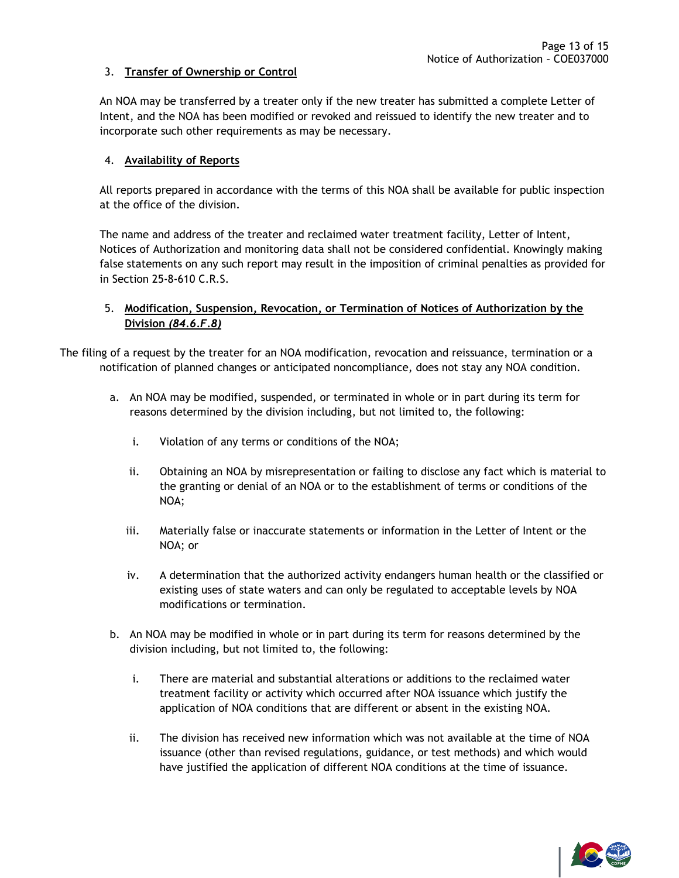### <span id="page-12-0"></span>3. **Transfer of Ownership or Control**

An NOA may be transferred by a treater only if the new treater has submitted a complete Letter of Intent, and the NOA has been modified or revoked and reissued to identify the new treater and to incorporate such other requirements as may be necessary.

#### <span id="page-12-1"></span>4. **Availability of Reports**

All reports prepared in accordance with the terms of this NOA shall be available for public inspection at the office of the division.

The name and address of the treater and reclaimed water treatment facility, Letter of Intent, Notices of Authorization and monitoring data shall not be considered confidential. Knowingly making false statements on any such report may result in the imposition of criminal penalties as provided for in Section 25-8-610 C.R.S.

### <span id="page-12-2"></span>5. **Modification, Suspension, Revocation, or Termination of Notices of Authorization by the Division** *(84.6.F.8)*

The filing of a request by the treater for an NOA modification, revocation and reissuance, termination or a notification of planned changes or anticipated noncompliance, does not stay any NOA condition.

- a. An NOA may be modified, suspended, or terminated in whole or in part during its term for reasons determined by the division including, but not limited to, the following:
	- i. Violation of any terms or conditions of the NOA;
	- ii. Obtaining an NOA by misrepresentation or failing to disclose any fact which is material to the granting or denial of an NOA or to the establishment of terms or conditions of the NOA;
	- iii. Materially false or inaccurate statements or information in the Letter of Intent or the NOA; or
	- iv. A determination that the authorized activity endangers human health or the classified or existing uses of state waters and can only be regulated to acceptable levels by NOA modifications or termination.
- b. An NOA may be modified in whole or in part during its term for reasons determined by the division including, but not limited to, the following:
	- i. There are material and substantial alterations or additions to the reclaimed water treatment facility or activity which occurred after NOA issuance which justify the application of NOA conditions that are different or absent in the existing NOA.
	- ii. The division has received new information which was not available at the time of NOA issuance (other than revised regulations, guidance, or test methods) and which would have justified the application of different NOA conditions at the time of issuance.

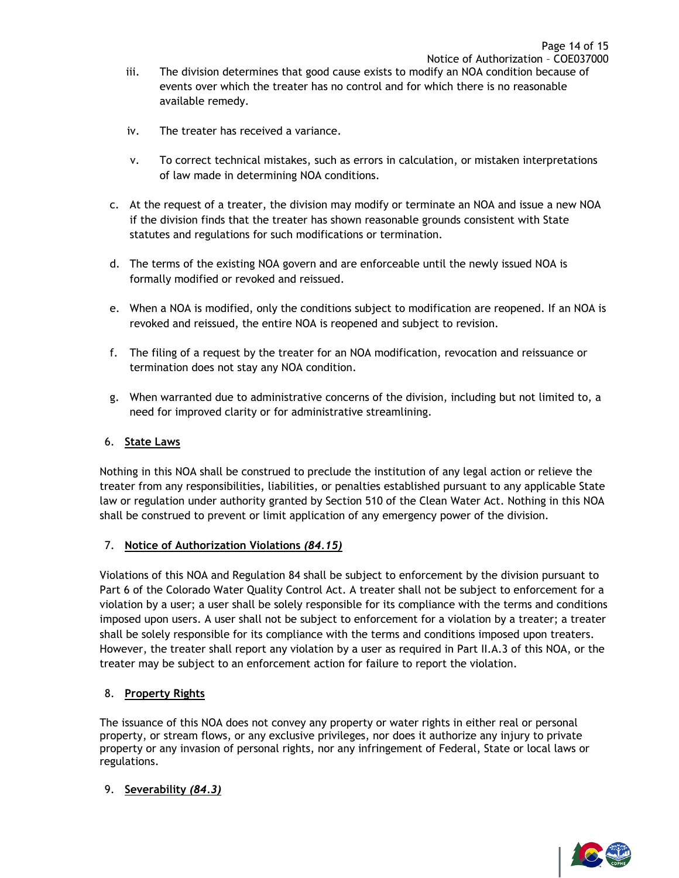- iii. The division determines that good cause exists to modify an NOA condition because of events over which the treater has no control and for which there is no reasonable available remedy.
- iv. The treater has received a variance.
- v. To correct technical mistakes, such as errors in calculation, or mistaken interpretations of law made in determining NOA conditions.
- c. At the request of a treater, the division may modify or terminate an NOA and issue a new NOA if the division finds that the treater has shown reasonable grounds consistent with State statutes and regulations for such modifications or termination.
- d. The terms of the existing NOA govern and are enforceable until the newly issued NOA is formally modified or revoked and reissued.
- e. When a NOA is modified, only the conditions subject to modification are reopened. If an NOA is revoked and reissued, the entire NOA is reopened and subject to revision.
- f. The filing of a request by the treater for an NOA modification, revocation and reissuance or termination does not stay any NOA condition.
- g. When warranted due to administrative concerns of the division, including but not limited to, a need for improved clarity or for administrative streamlining.

# <span id="page-13-0"></span>6. **State Laws**

Nothing in this NOA shall be construed to preclude the institution of any legal action or relieve the treater from any responsibilities, liabilities, or penalties established pursuant to any applicable State law or regulation under authority granted by Section 510 of the Clean Water Act. Nothing in this NOA shall be construed to prevent or limit application of any emergency power of the division.

# <span id="page-13-1"></span>7. **Notice of Authorization Violations** *(84.15)*

Violations of this NOA and Regulation 84 shall be subject to enforcement by the division pursuant to Part 6 of the Colorado Water Quality Control Act. A treater shall not be subject to enforcement for a violation by a user; a user shall be solely responsible for its compliance with the terms and conditions imposed upon users. A user shall not be subject to enforcement for a violation by a treater; a treater shall be solely responsible for its compliance with the terms and conditions imposed upon treaters. However, the treater shall report any violation by a user as required in Part II.A.3 of this NOA, or the treater may be subject to an enforcement action for failure to report the violation.

### <span id="page-13-2"></span>8. **Property Rights**

The issuance of this NOA does not convey any property or water rights in either real or personal property, or stream flows, or any exclusive privileges, nor does it authorize any injury to private property or any invasion of personal rights, nor any infringement of Federal, State or local laws or regulations.

### <span id="page-13-3"></span>9. **Severability** *(84.3)*

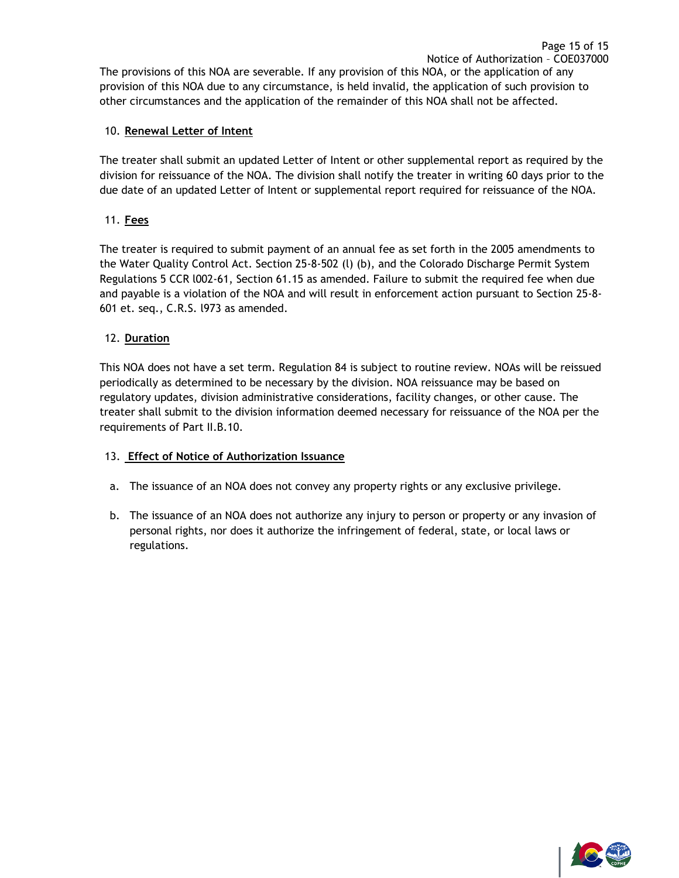The provisions of this NOA are severable. If any provision of this NOA, or the application of any provision of this NOA due to any circumstance, is held invalid, the application of such provision to other circumstances and the application of the remainder of this NOA shall not be affected.

# <span id="page-14-0"></span>10. **Renewal Letter of Intent**

The treater shall submit an updated Letter of Intent or other supplemental report as required by the division for reissuance of the NOA. The division shall notify the treater in writing 60 days prior to the due date of an updated Letter of Intent or supplemental report required for reissuance of the NOA.

# <span id="page-14-1"></span>11. **Fees**

The treater is required to submit payment of an annual fee as set forth in the 2005 amendments to the Water Quality Control Act. Section 25-8-502 (l) (b), and the Colorado Discharge Permit System Regulations 5 CCR l002-61, Section 61.15 as amended. Failure to submit the required fee when due and payable is a violation of the NOA and will result in enforcement action pursuant to Section 25-8- 601 et. seq., C.R.S. l973 as amended.

# <span id="page-14-2"></span>12. **Duration**

This NOA does not have a set term. Regulation 84 is subject to routine review. NOAs will be reissued periodically as determined to be necessary by the division. NOA reissuance may be based on regulatory updates, division administrative considerations, facility changes, or other cause. The treater shall submit to the division information deemed necessary for reissuance of the NOA per the requirements of Part II.B.10.

# <span id="page-14-3"></span>13. **Effect of Notice of Authorization Issuance**

- a. The issuance of an NOA does not convey any property rights or any exclusive privilege.
- b. The issuance of an NOA does not authorize any injury to person or property or any invasion of personal rights, nor does it authorize the infringement of federal, state, or local laws or regulations.

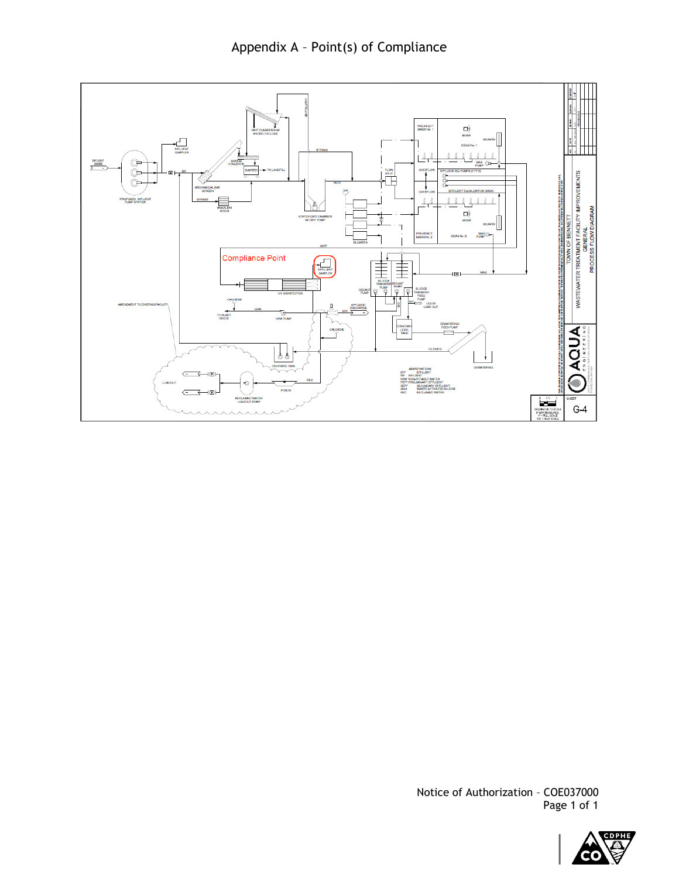



Notice of Authorization – COE037000 Page 1 of 1